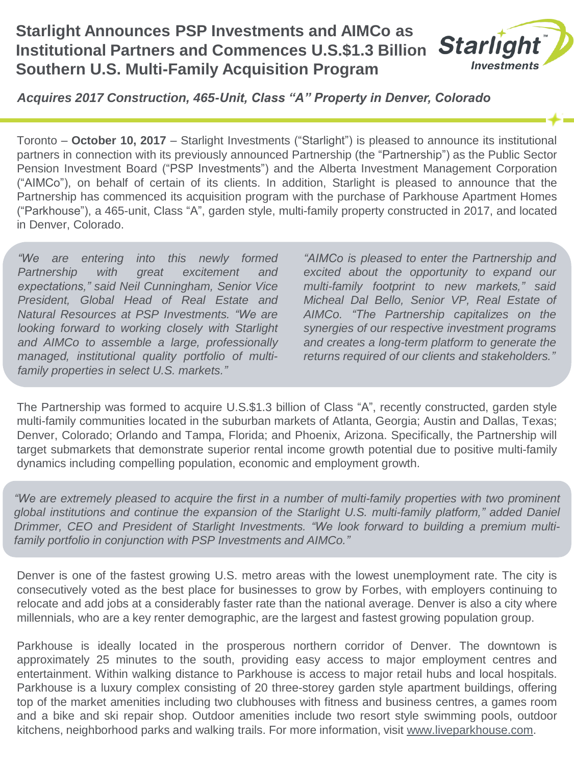#### **Starlight Announces PSP Investments and AIMCo as Starlight Institutional Partners and Commences U.S.\$1.3 Billion Investments Southern U.S. Multi-Family Acquisition Program**

*Acquires 2017 Construction, 465-Unit, Class "A" Property in Denver, Colorado*

Toronto – **October 10, 2017** – Starlight Investments ("Starlight") is pleased to announce its institutional partners in connection with its previously announced Partnership (the "Partnership") as the Public Sector Pension Investment Board ("PSP Investments") and the Alberta Investment Management Corporation ("AIMCo"), on behalf of certain of its clients. In addition, Starlight is pleased to announce that the Partnership has commenced its acquisition program with the purchase of Parkhouse Apartment Homes ("Parkhouse"), a 465-unit, Class "A", garden style, multi-family property constructed in 2017, and located in Denver, Colorado.

*"We are entering into this newly formed Partnership with great excitement and expectations," said Neil Cunningham, Senior Vice President, Global Head of Real Estate and Natural Resources at PSP Investments. "We are looking forward to working closely with Starlight and AIMCo to assemble a large, professionally managed, institutional quality portfolio of multifamily properties in select U.S. markets."*

*"AIMCo is pleased to enter the Partnership and excited about the opportunity to expand our multi-family footprint to new markets," said Micheal Dal Bello, Senior VP, Real Estate of AIMCo. "The Partnership capitalizes on the synergies of our respective investment programs and creates a long-term platform to generate the returns required of our clients and stakeholders."*

The Partnership was formed to acquire U.S.\$1.3 billion of Class "A", recently constructed, garden style multi-family communities located in the suburban markets of Atlanta, Georgia; Austin and Dallas, Texas; Denver, Colorado; Orlando and Tampa, Florida; and Phoenix, Arizona. Specifically, the Partnership will target submarkets that demonstrate superior rental income growth potential due to positive multi-family dynamics including compelling population, economic and employment growth.

*"We are extremely pleased to acquire the first in a number of multi-family properties with two prominent global institutions and continue the expansion of the Starlight U.S. multi-family platform," added Daniel Drimmer, CEO and President of Starlight Investments. "We look forward to building a premium multifamily portfolio in conjunction with PSP Investments and AIMCo."*

Denver is one of the fastest growing U.S. metro areas with the lowest unemployment rate. The city is consecutively voted as the best place for businesses to grow by Forbes, with employers continuing to relocate and add jobs at a considerably faster rate than the national average. Denver is also a city where millennials, who are a key renter demographic, are the largest and fastest growing population group.

Parkhouse is ideally located in the prosperous northern corridor of Denver. The downtown is approximately 25 minutes to the south, providing easy access to major employment centres and entertainment. Within walking distance to Parkhouse is access to major retail hubs and local hospitals. Parkhouse is a luxury complex consisting of 20 three-storey garden style apartment buildings, offering top of the market amenities including two clubhouses with fitness and business centres, a games room and a bike and ski repair shop. Outdoor amenities include two resort style swimming pools, outdoor kitchens, neighborhood parks and walking trails. For more information, visit [www.liveparkhouse.com.](http://www.liveparkhouse.com/)